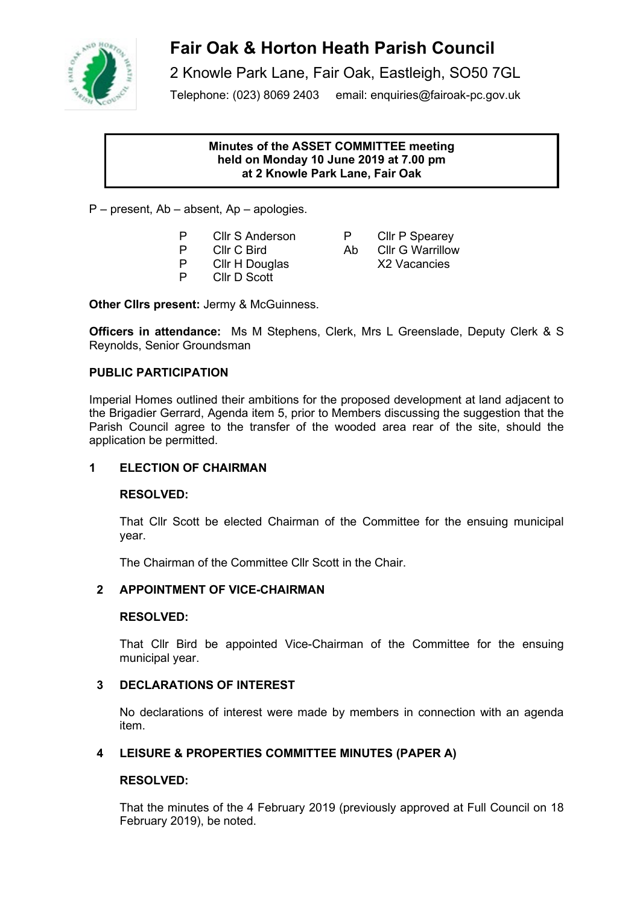

# **Fair Oak & Horton Heath Parish Council**

2 Knowle Park Lane, Fair Oak, Eastleigh, SO50 7GL

Telephone: (023) 8069 2403 email: enquiries@fairoak-pc.gov.uk

#### **Minutes of the ASSET COMMITTEE meeting held on Monday 10 June 2019 at 7.00 pm at 2 Knowle Park Lane, Fair Oak**

P – present, Ab – absent, Ap – apologies.

- 
- 
- P Cllr H Douglas<br>P Cllr D Scott
- Cllr D Scott

**Other Cllrs present:** Jermy & McGuinness.

**Officers in attendance:** Ms M Stephens, Clerk, Mrs L Greenslade, Deputy Clerk & S Reynolds, Senior Groundsman

## **PUBLIC PARTICIPATION**

Imperial Homes outlined their ambitions for the proposed development at land adjacent to the Brigadier Gerrard, Agenda item 5, prior to Members discussing the suggestion that the Parish Council agree to the transfer of the wooded area rear of the site, should the application be permitted.

## **1 ELECTION OF CHAIRMAN**

### **RESOLVED:**

That Cllr Scott be elected Chairman of the Committee for the ensuing municipal year.

The Chairman of the Committee Cllr Scott in the Chair.

# **2 APPOINTMENT OF VICE-CHAIRMAN**

### **RESOLVED:**

That Cllr Bird be appointed Vice-Chairman of the Committee for the ensuing municipal year.

### **3 DECLARATIONS OF INTEREST**

No declarations of interest were made by members in connection with an agenda item.

# **4 LEISURE & PROPERTIES COMMITTEE MINUTES (PAPER A)**

### **RESOLVED:**

That the minutes of the 4 February 2019 (previously approved at Full Council on 18 February 2019), be noted.

P CIIr S Anderson P CIIr P Spearey<br>P CIIr C Bird Ab CIIr G Warrillow P Clir C Bird Ab Clir G Warrillow<br>P Clir H Douglas X2 Vacancies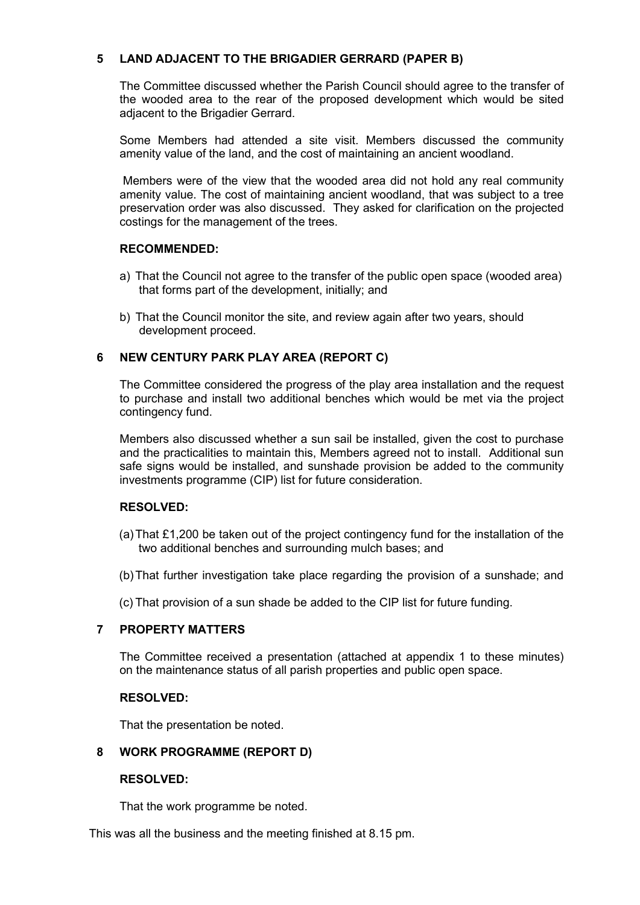## **5 LAND ADJACENT TO THE BRIGADIER GERRARD (PAPER B)**

The Committee discussed whether the Parish Council should agree to the transfer of the wooded area to the rear of the proposed development which would be sited adjacent to the Brigadier Gerrard.

Some Members had attended a site visit. Members discussed the community amenity value of the land, and the cost of maintaining an ancient woodland.

Members were of the view that the wooded area did not hold any real community amenity value. The cost of maintaining ancient woodland, that was subject to a tree preservation order was also discussed. They asked for clarification on the projected costings for the management of the trees.

#### **RECOMMENDED:**

- a) That the Council not agree to the transfer of the public open space (wooded area) that forms part of the development, initially; and
- b) That the Council monitor the site, and review again after two years, should development proceed.

### **6 NEW CENTURY PARK PLAY AREA (REPORT C)**

The Committee considered the progress of the play area installation and the request to purchase and install two additional benches which would be met via the project contingency fund.

Members also discussed whether a sun sail be installed, given the cost to purchase and the practicalities to maintain this, Members agreed not to install. Additional sun safe signs would be installed, and sunshade provision be added to the community investments programme (CIP) list for future consideration.

### **RESOLVED:**

- (a)That £1,200 be taken out of the project contingency fund for the installation of the two additional benches and surrounding mulch bases; and
- (b)That further investigation take place regarding the provision of a sunshade; and
- (c) That provision of a sun shade be added to the CIP list for future funding.

### **7 PROPERTY MATTERS**

The Committee received a presentation (attached at appendix 1 to these minutes) on the maintenance status of all parish properties and public open space.

#### **RESOLVED:**

That the presentation be noted.

### **8 WORK PROGRAMME (REPORT D)**

### **RESOLVED:**

That the work programme be noted.

This was all the business and the meeting finished at 8.15 pm.